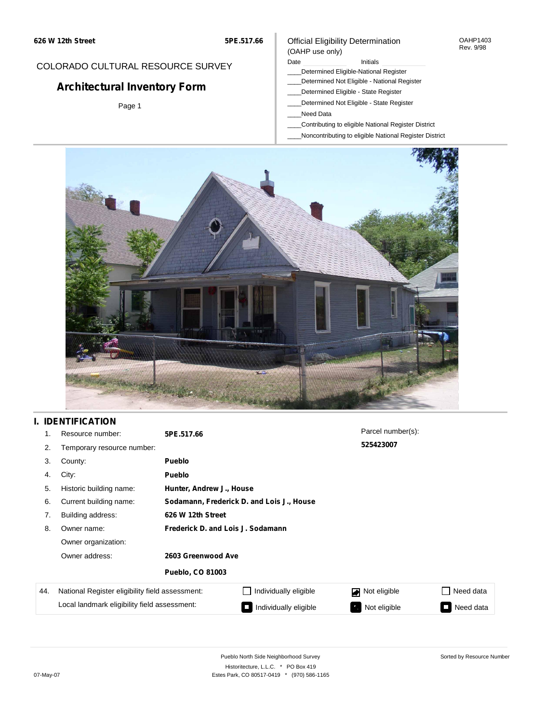#### OAHP1403 Rev. 9/98

### COLORADO CULTURAL RESOURCE SURVEY

# **Architectural Inventory Form**

Page 1

### (OAHP use only) Date **Initials** Initials

Official Eligibility Determination

- \_\_\_\_Determined Eligible-National Register
- \_\_\_\_Determined Not Eligible National Register
- \_\_\_\_Determined Eligible State Register
- \_\_\_\_Determined Not Eligible State Register
- \_\_\_\_Need Data
- \_\_\_\_Contributing to eligible National Register District
- \_\_\_\_Noncontributing to eligible National Register District



## **I. IDENTIFICATION**

| 1.  | Resource number:                                            | 5PE.517.66                                |                       | Parcel number(s): |                                          |  |  |
|-----|-------------------------------------------------------------|-------------------------------------------|-----------------------|-------------------|------------------------------------------|--|--|
| 2.  | Temporary resource number:                                  |                                           |                       | 525423007         |                                          |  |  |
| 3.  | County:                                                     | <b>Pueblo</b>                             |                       |                   |                                          |  |  |
| 4.  | City:                                                       | <b>Pueblo</b>                             |                       |                   |                                          |  |  |
| 5.  | Historic building name:                                     | Hunter, Andrew J., House                  |                       |                   |                                          |  |  |
| 6.  | Current building name:                                      | Sodamann, Frederick D. and Lois J., House |                       |                   |                                          |  |  |
| 7.  | Building address:                                           | 626 W 12th Street                         |                       |                   |                                          |  |  |
| 8.  | Owner name:                                                 | Frederick D. and Lois J. Sodamann         |                       |                   |                                          |  |  |
|     | Owner organization:<br>Owner address:<br>2603 Greenwood Ave |                                           |                       |                   |                                          |  |  |
|     |                                                             |                                           |                       |                   |                                          |  |  |
|     |                                                             | <b>Pueblo, CO 81003</b>                   |                       |                   |                                          |  |  |
| 44. | National Register eligibility field assessment:             |                                           | Individually eligible | Not eligible<br>◪ | Need data                                |  |  |
|     | Local landmark eligibility field assessment:                |                                           | Individually eligible | Not eligible<br>ዔ | Need data<br>$\mathcal{L}^{\mathcal{L}}$ |  |  |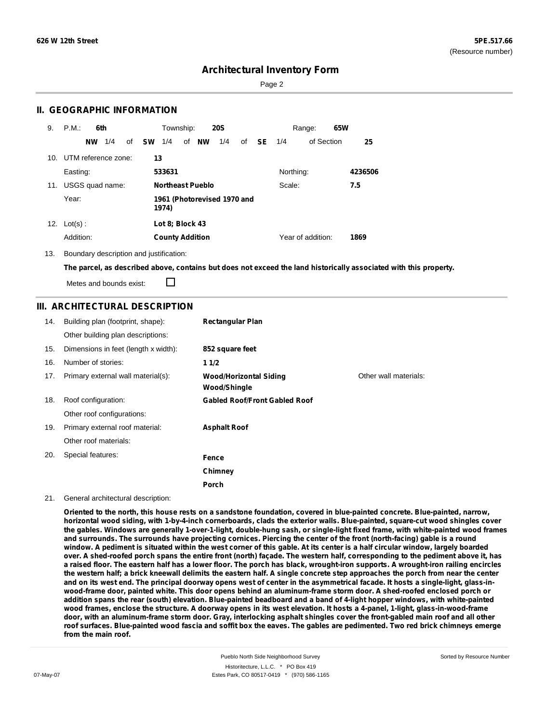Sorted by Resource Number

## **Architectural Inventory Form**

Page 2

### **II. GEOGRAPHIC INFORMATION**

| 9.  | P.M.                | 6th       |     |    |           | Township:               |    |           | <b>20S</b>                  |    |      |           | Range:            | 65W |         |
|-----|---------------------|-----------|-----|----|-----------|-------------------------|----|-----------|-----------------------------|----|------|-----------|-------------------|-----|---------|
|     |                     | <b>NW</b> | 1/4 | of | <b>SW</b> | 1/4                     | of | <b>NW</b> | 1/4                         | of | - SE | 1/4       | of Section        |     | 25      |
| 10. | UTM reference zone: |           |     |    | 13        |                         |    |           |                             |    |      |           |                   |     |         |
|     | Easting:            |           |     |    |           | 533631                  |    |           |                             |    |      | Northing: |                   |     | 4236506 |
| 11. | USGS quad name:     |           |     |    |           | <b>Northeast Pueblo</b> |    |           |                             |    |      | Scale:    |                   |     | 7.5     |
|     | Year:               |           |     |    |           | 1974)                   |    |           | 1961 (Photorevised 1970 and |    |      |           |                   |     |         |
| 12. | $Lot(s)$ :          |           |     |    |           | Lot 8; Block 43         |    |           |                             |    |      |           |                   |     |         |
|     | Addition:           |           |     |    |           | <b>County Addition</b>  |    |           |                             |    |      |           | Year of addition: |     | 1869    |

13. Boundary description and justification:

The parcel, as described above, contains but does not exceed the land historically associated with this property.

Metes and bounds exist:

П

### **III. ARCHITECTURAL DESCRIPTION**

| 14. | Building plan (footprint, shape):<br>Other building plan descriptions: | <b>Rectangular Plan</b>                              |                       |
|-----|------------------------------------------------------------------------|------------------------------------------------------|-----------------------|
| 15. | Dimensions in feet (length x width):                                   | 852 square feet                                      |                       |
| 16. | Number of stories:                                                     | 11/2                                                 |                       |
| 17. | Primary external wall material(s):                                     | <b>Wood/Horizontal Siding</b><br><b>Wood/Shingle</b> | Other wall materials: |
| 18. | Roof configuration:                                                    | <b>Gabled Roof/Front Gabled Roof</b>                 |                       |
|     | Other roof configurations:                                             |                                                      |                       |
| 19. | Primary external roof material:                                        | <b>Asphalt Roof</b>                                  |                       |
|     | Other roof materials:                                                  |                                                      |                       |
| 20. | Special features:                                                      | Fence                                                |                       |
|     |                                                                        | Chimney                                              |                       |
|     |                                                                        | Porch                                                |                       |

#### 21. General architectural description:

Oriented to the north, this house rests on a sandstone foundation, covered in blue-painted concrete. Blue-painted, narrow, horizontal wood siding, with 1-by-4-inch cornerboards, clads the exterior walls. Blue-painted, square-cut wood shingles cover the gables. Windows are generally 1-over-1-light, double-hung sash, or single-light fixed frame, with white-painted wood frames and surrounds. The surrounds have projecting cornices. Piercing the center of the front (north-facing) gable is a round window. A pediment is situated within the west corner of this gable. At its center is a half circular window, largely boarded over. A shed-roofed porch spans the entire front (north) façade. The western half, corresponding to the pediment above it, has a raised floor. The eastern half has a lower floor. The porch has black, wrought-iron supports. A wrought-iron railing encircles the western half; a brick kneewall delimits the eastern half. A single concrete step approaches the porch from near the center and on its west end. The principal doorway opens west of center in the asymmetrical facade. It hosts a single-light, glass-inwood-frame door, painted white. This door opens behind an aluminum-frame storm door. A shed-roofed enclosed porch or addition spans the rear (south) elevation. Blue-painted beadboard and a band of 4-light hopper windows, with white-painted wood frames, enclose the structure. A doorway opens in its west elevation. It hosts a 4-panel, 1-light, glass-in-wood-frame door, with an aluminum-frame storm door. Gray, interlocking asphalt shingles cover the front-gabled main roof and all other roof surfaces. Blue-painted wood fascia and soffit box the eaves. The gables are pedimented. Two red brick chimneys emerge **from the main roof.**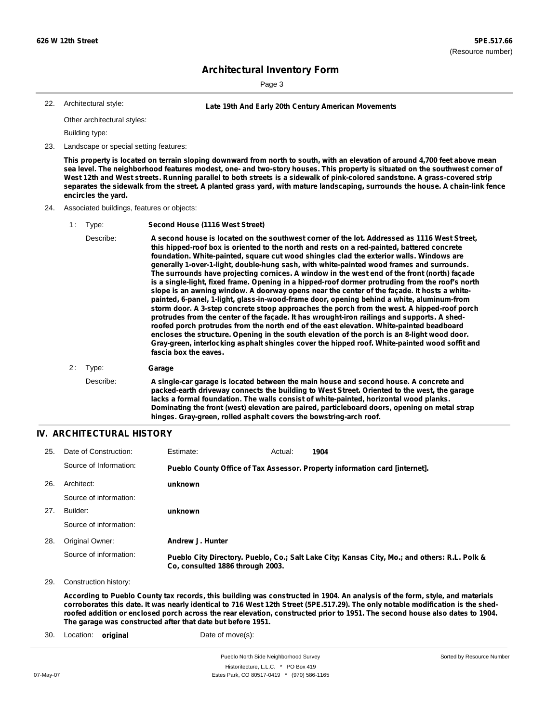Sorted by Resource Number

## **Architectural Inventory Form**

Page 3

Architectural style:

22. **Late 19th And Early 20th Century American Movements**

Other architectural styles:

Building type:

23. Landscape or special setting features:

This property is located on terrain sloping downward from north to south, with an elevation of around 4,700 feet above mean sea level. The neighborhood features modest, one- and two-story houses. This property is situated on the southwest corner of West 12th and West streets. Running parallel to both streets is a sidewalk of pink-colored sandstone. A grass-covered strip separates the sidewalk from the street. A planted grass yard, with mature landscaping, surrounds the house. A chain-link fence **encircles the yard.**

#### 24. Associated buildings, features or objects:

- 1 : Type: **Second House (1116 West Street)**
	- Describe: **A second house is located on the southwest corner of the lot. Addressed as 1116 West Street, this hipped-roof box is oriented to the north and rests on a red-painted, battered concrete foundation. White-painted, square cut wood shingles clad the exterior walls. Windows are generally 1-over-1-light, double-hung sash, with white-painted wood frames and surrounds. The surrounds have projecting cornices. A window in the west end of the front (north) façade is a single-light, fixed frame. Opening in a hipped-roof dormer protruding from the roof's north slope is an awning window. A doorway opens near the center of the façade. It hosts a whitepainted, 6-panel, 1-light, glass-in-wood-frame door, opening behind a white, aluminum-from storm door. A 3-step concrete stoop approaches the porch from the west. A hipped-roof porch protrudes from the center of the façade. It has wrought-iron railings and supports. A shedroofed porch protrudes from the north end of the east elevation. White-painted beadboard encloses the structure. Opening in the south elevation of the porch is an 8-light wood door. Gray-green, interlocking asphalt shingles cover the hipped roof. White-painted wood soffit and fascia box the eaves.**
- 2 : Type: **Garage**

Describe: **A single-car garage is located between the main house and second house. A concrete and packed-earth driveway connects the building to West Street. Oriented to the west, the garage lacks a formal foundation. The walls consist of white-painted, horizontal wood planks. Dominating the front (west) elevation are paired, particleboard doors, opening on metal strap hinges. Gray-green, rolled asphalt covers the bowstring-arch roof.**

### **IV. ARCHITECTURAL HISTORY**

| 25. | Date of Construction:  | Estimate:                                                                   | Actual: | 1904                                                                                          |  |  |  |
|-----|------------------------|-----------------------------------------------------------------------------|---------|-----------------------------------------------------------------------------------------------|--|--|--|
|     | Source of Information: | Pueblo County Office of Tax Assessor. Property information card [internet]. |         |                                                                                               |  |  |  |
| 26. | Architect:             | unknown                                                                     |         |                                                                                               |  |  |  |
|     | Source of information: |                                                                             |         |                                                                                               |  |  |  |
| 27. | Builder:               | unknown                                                                     |         |                                                                                               |  |  |  |
|     | Source of information: |                                                                             |         |                                                                                               |  |  |  |
| 28. | Original Owner:        | Andrew J. Hunter                                                            |         |                                                                                               |  |  |  |
|     | Source of information: | Co. consulted 1886 through 2003.                                            |         | Pueblo City Directory. Pueblo, Co.; Salt Lake City; Kansas City, Mo.; and others: R.L. Polk & |  |  |  |
| 29. | Construction history:  |                                                                             |         |                                                                                               |  |  |  |

According to Pueblo County tax records, this building was constructed in 1904. An analysis of the form, style, and materials corroborates this date. It was nearly identical to 716 West 12th Street (5PE.517.29). The only notable modification is the shedroofed addition or enclosed porch across the rear elevation, constructed prior to 1951. The second house also dates to 1904. **The garage was constructed after that date but before 1951.**

30. Location: **original** Date of move(s):

Pueblo North Side Neighborhood Survey Historitecture, L.L.C. \* PO Box 419 07-May-07 Estes Park, CO 80517-0419 \* (970) 586-1165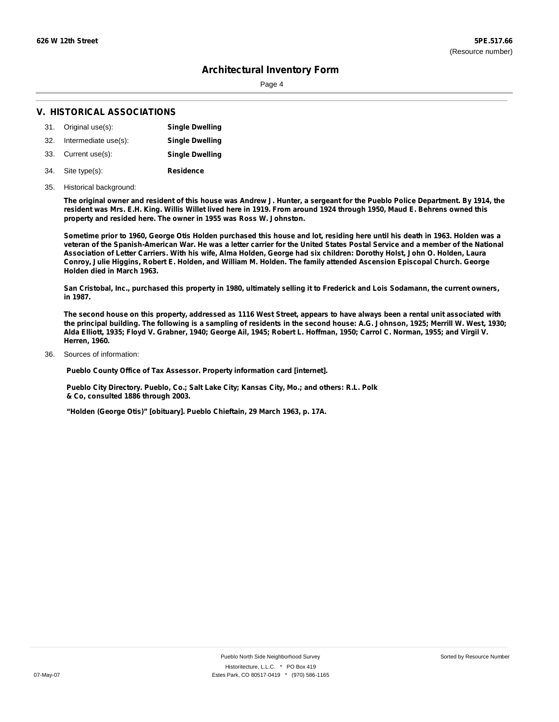Page 4

### **V. HISTORICAL ASSOCIATIONS**

- 31. Original use(s): **Single Dwelling**
- 32. Intermediate use(s): **Single Dwelling**
- 33. Current use(s): **Single Dwelling**
- **Residence** Site type(s): 34.
- 35. Historical background:

The original owner and resident of this house was Andrew J. Hunter, a sergeant for the Pueblo Police Department. By 1914, the resident was Mrs. E.H. King. Willis Willet lived here in 1919. From around 1924 through 1950, Maud E. Behrens owned this **property and resided here. The owner in 1955 was Ross W. Johnston.**

Sometime prior to 1960, George Otis Holden purchased this house and lot, residing here until his death in 1963. Holden was a veteran of the Spanish-American War. He was a letter carrier for the United States Postal Service and a member of the National Association of Letter Carriers. With his wife, Alma Holden, George had six children: Dorothy Holst, John O. Holden, Laura Conroy, Julie Higgins, Robert E. Holden, and William M. Holden. The family attended Ascension Episcopal Church. George **Holden died in March 1963.**

San Cristobal, Inc., purchased this property in 1980, ultimately selling it to Frederick and Lois Sodamann, the current owners, **in 1987.**

The second house on this property, addressed as 1116 West Street, appears to have always been a rental unit associated with the principal building. The following is a sampling of residents in the second house: A.G. Johnson, 1925; Merrill W. West, 1930; Alda Elliott, 1935; Floyd V. Grabner, 1940; George Ail, 1945; Robert L. Hoffman, 1950; Carrol C. Norman, 1955; and Virgil V. **Herren, 1960.**

Sources of information: 36.

**Pueblo County Office of Tax Assessor. Property information card [internet].**

**Pueblo City Directory. Pueblo, Co.; Salt Lake City; Kansas City, Mo.; and others: R.L. Polk & Co, consulted 1886 through 2003.**

**"Holden (George Otis)" [obituary]. Pueblo Chieftain, 29 March 1963, p. 17A.**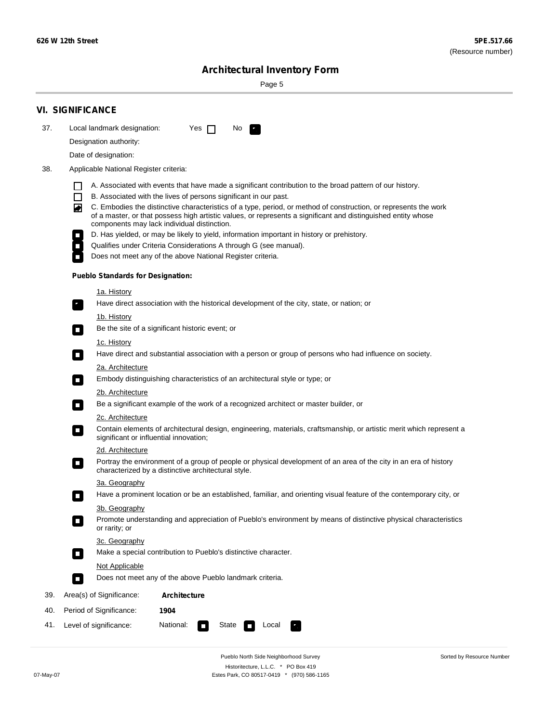Sorted by Resource Number

# **Architectural Inventory Form**

Page 5

|     | <b>VI. SIGNIFICANCE</b>                                                                                                                                                                                                                                                                                                                                                                                                                                                                                                                                                                                                                                                                                                                                                                                                                                                                                                                                                                                                                                                                                                                                                                                                                                                                                                                                                                                                                                                                                                                                                                                                                                                                                                                                                                                                                                                                                                                                                                                                                                                                                                                                                                                                                        |
|-----|------------------------------------------------------------------------------------------------------------------------------------------------------------------------------------------------------------------------------------------------------------------------------------------------------------------------------------------------------------------------------------------------------------------------------------------------------------------------------------------------------------------------------------------------------------------------------------------------------------------------------------------------------------------------------------------------------------------------------------------------------------------------------------------------------------------------------------------------------------------------------------------------------------------------------------------------------------------------------------------------------------------------------------------------------------------------------------------------------------------------------------------------------------------------------------------------------------------------------------------------------------------------------------------------------------------------------------------------------------------------------------------------------------------------------------------------------------------------------------------------------------------------------------------------------------------------------------------------------------------------------------------------------------------------------------------------------------------------------------------------------------------------------------------------------------------------------------------------------------------------------------------------------------------------------------------------------------------------------------------------------------------------------------------------------------------------------------------------------------------------------------------------------------------------------------------------------------------------------------------------|
| 37. | Local landmark designation:<br>Yes $\Box$<br>No.                                                                                                                                                                                                                                                                                                                                                                                                                                                                                                                                                                                                                                                                                                                                                                                                                                                                                                                                                                                                                                                                                                                                                                                                                                                                                                                                                                                                                                                                                                                                                                                                                                                                                                                                                                                                                                                                                                                                                                                                                                                                                                                                                                                               |
|     | Designation authority:                                                                                                                                                                                                                                                                                                                                                                                                                                                                                                                                                                                                                                                                                                                                                                                                                                                                                                                                                                                                                                                                                                                                                                                                                                                                                                                                                                                                                                                                                                                                                                                                                                                                                                                                                                                                                                                                                                                                                                                                                                                                                                                                                                                                                         |
|     | Date of designation:                                                                                                                                                                                                                                                                                                                                                                                                                                                                                                                                                                                                                                                                                                                                                                                                                                                                                                                                                                                                                                                                                                                                                                                                                                                                                                                                                                                                                                                                                                                                                                                                                                                                                                                                                                                                                                                                                                                                                                                                                                                                                                                                                                                                                           |
| 38. | Applicable National Register criteria:                                                                                                                                                                                                                                                                                                                                                                                                                                                                                                                                                                                                                                                                                                                                                                                                                                                                                                                                                                                                                                                                                                                                                                                                                                                                                                                                                                                                                                                                                                                                                                                                                                                                                                                                                                                                                                                                                                                                                                                                                                                                                                                                                                                                         |
|     | A. Associated with events that have made a significant contribution to the broad pattern of our history.<br>B. Associated with the lives of persons significant in our past.<br>C. Embodies the distinctive characteristics of a type, period, or method of construction, or represents the work<br>◙<br>of a master, or that possess high artistic values, or represents a significant and distinguished entity whose<br>components may lack individual distinction.<br>D. Has yielded, or may be likely to yield, information important in history or prehistory.<br>Qualifies under Criteria Considerations A through G (see manual).<br>Does not meet any of the above National Register criteria.<br><b>Pueblo Standards for Designation:</b><br><u>1a. History</u><br>Have direct association with the historical development of the city, state, or nation; or<br>$\overline{\phantom{a}}$ .<br><u>1b. History</u><br>Be the site of a significant historic event; or<br>$\Box$<br>1c. History<br>Have direct and substantial association with a person or group of persons who had influence on society.<br>$\sim$<br>2a. Architecture<br>Embody distinguishing characteristics of an architectural style or type; or<br>$\overline{\phantom{a}}$<br>2b. Architecture<br>Be a significant example of the work of a recognized architect or master builder, or<br>$\overline{\phantom{a}}$<br>2c. Architecture<br>Contain elements of architectural design, engineering, materials, craftsmanship, or artistic merit which represent a<br>$\mathcal{L}_{\mathcal{A}}$<br>significant or influential innovation;<br>2d. Architecture<br>Portray the environment of a group of people or physical development of an area of the city in an era of history<br>$\mathcal{L}_{\mathcal{A}}$<br>characterized by a distinctive architectural style.<br>3a. Geography<br>Have a prominent location or be an established, familiar, and orienting visual feature of the contemporary city, or<br>П<br>3b. Geography<br>Promote understanding and appreciation of Pueblo's environment by means of distinctive physical characteristics<br>or rarity; or<br>3c. Geography<br>Make a special contribution to Pueblo's distinctive character.<br>О |
|     | Not Applicable                                                                                                                                                                                                                                                                                                                                                                                                                                                                                                                                                                                                                                                                                                                                                                                                                                                                                                                                                                                                                                                                                                                                                                                                                                                                                                                                                                                                                                                                                                                                                                                                                                                                                                                                                                                                                                                                                                                                                                                                                                                                                                                                                                                                                                 |
|     | Does not meet any of the above Pueblo landmark criteria.<br>$\overline{\phantom{a}}$                                                                                                                                                                                                                                                                                                                                                                                                                                                                                                                                                                                                                                                                                                                                                                                                                                                                                                                                                                                                                                                                                                                                                                                                                                                                                                                                                                                                                                                                                                                                                                                                                                                                                                                                                                                                                                                                                                                                                                                                                                                                                                                                                           |
| 39. | Area(s) of Significance:<br><b>Architecture</b>                                                                                                                                                                                                                                                                                                                                                                                                                                                                                                                                                                                                                                                                                                                                                                                                                                                                                                                                                                                                                                                                                                                                                                                                                                                                                                                                                                                                                                                                                                                                                                                                                                                                                                                                                                                                                                                                                                                                                                                                                                                                                                                                                                                                |
| 40. | Period of Significance:<br>1904                                                                                                                                                                                                                                                                                                                                                                                                                                                                                                                                                                                                                                                                                                                                                                                                                                                                                                                                                                                                                                                                                                                                                                                                                                                                                                                                                                                                                                                                                                                                                                                                                                                                                                                                                                                                                                                                                                                                                                                                                                                                                                                                                                                                                |
| 41. | National:<br>Level of significance:<br>State<br>Local                                                                                                                                                                                                                                                                                                                                                                                                                                                                                                                                                                                                                                                                                                                                                                                                                                                                                                                                                                                                                                                                                                                                                                                                                                                                                                                                                                                                                                                                                                                                                                                                                                                                                                                                                                                                                                                                                                                                                                                                                                                                                                                                                                                          |

Pueblo North Side Neighborhood Survey Historitecture, L.L.C. \* PO Box 419 07-May-07 Estes Park, CO 80517-0419 \* (970) 586-1165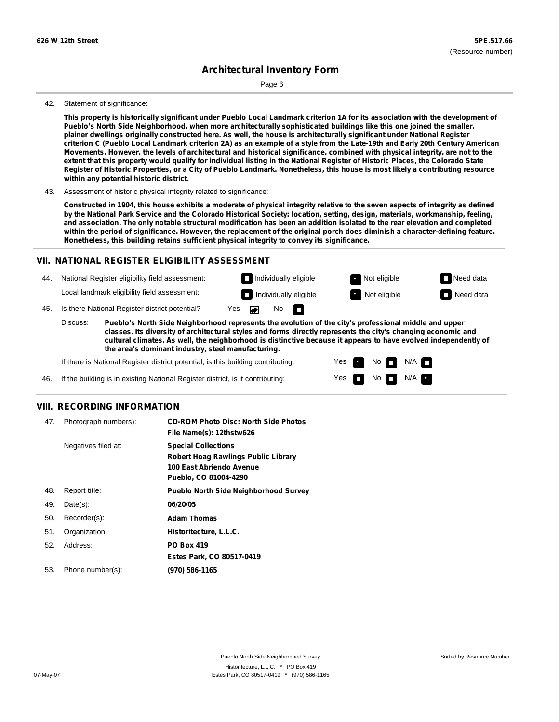Page 6

#### 42. Statement of significance:

This property is historically significant under Pueblo Local Landmark criterion 1A for its association with the development of **Pueblo's North Side Neighborhood, when more architecturally sophisticated buildings like this one joined the smaller,** plainer dwellings originally constructed here. As well, the house is architecturally significant under National Register criterion C (Pueblo Local Landmark criterion 2A) as an example of a style from the Late-19th and Early 20th Century American Movements. However, the levels of architectural and historical significance, combined with physical integrity, are not to the extent that this property would qualify for individual listing in the National Register of Historic Places, the Colorado State Register of Historic Properties, or a City of Pueblo Landmark. Nonetheless, this house is most likely a contributing resource **within any potential historic district.**

43. Assessment of historic physical integrity related to significance:

Constructed in 1904, this house exhibits a moderate of physical integrity relative to the seven aspects of integrity as defined by the National Park Service and the Colorado Historical Society: location, setting, design, materials, workmanship, feeling, and association. The only notable structural modification has been an addition isolated to the rear elevation and completed within the period of significance. However, the replacement of the original porch does diminish a character-defining feature. **Nonetheless, this building retains sufficient physical integrity to convey its significance.**

### **VII. NATIONAL REGISTER ELIGIBILITY ASSESSMENT**

44. National Register eligibility field assessment: Local landmark eligibility field assessment:

**Individually eligible Not eligible** Not eligible **Need data** 45. Is there National Register district potential? Yes No m

> Yes Yes

No

**Individually eligible Not eligible** Not eligible **Need data** 

 $No$   $\neg$   $N/A$ 

 $N/A$ 

**Pueblo's North Side Neighborhood represents the evolution of the city's professional middle and upper classes. Its diversity of architectural styles and forms directly represents the city's changing economic and cultural climates. As well, the neighborhood is distinctive because it appears to have evolved independently of the area's dominant industry, steel manufacturing.** Discuss:

If there is National Register district potential, is this building contributing:

If the building is in existing National Register district, is it contributing: 46.

### **VIII. RECORDING INFORMATION**

| 47. | Photograph numbers): | <b>CD-ROM Photo Disc: North Side Photos</b><br>File Name(s): 12thstw626                                                       |
|-----|----------------------|-------------------------------------------------------------------------------------------------------------------------------|
|     | Negatives filed at:  | <b>Special Collections</b><br><b>Robert Hoag Rawlings Public Library</b><br>100 East Abriendo Avenue<br>Pueblo, CO 81004-4290 |
| 48. | Report title:        | <b>Pueblo North Side Neighborhood Survey</b>                                                                                  |
| 49. | $Date(s)$ :          | 06/20/05                                                                                                                      |
| 50. | Recorder(s):         | <b>Adam Thomas</b>                                                                                                            |
| 51. | Organization:        | Historitecture, L.L.C.                                                                                                        |
| 52. | Address:             | <b>PO Box 419</b>                                                                                                             |
|     |                      | Estes Park, CO 80517-0419                                                                                                     |
| 53. | Phone number(s):     | (970) 586-1165                                                                                                                |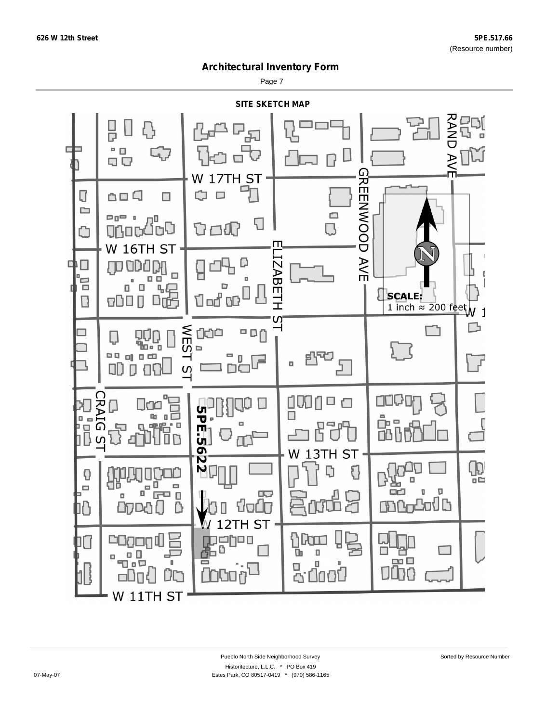Page 7